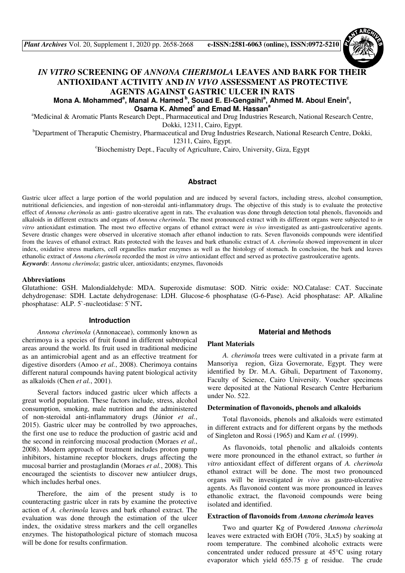# *IN VITRO* **SCREENING OF** *ANNONA CHERIMOLA* **LEAVES AND BARK FOR THEIR ANTIOXIDANT ACTIVITY AND** *IN VIVO* **ASSESSMENT AS PROTECTIVE AGENTS AGAINST GASTRIC ULCER IN RATS**

Mona A. Mohammed<sup>a</sup>, Manal A. Hamed <sup>b</sup>, Souad E. El-Gengaihi<sup>a</sup>, Ahmed M. Aboul Enein<sup>c</sup>, **Osama K. Ahmed<sup>c</sup> and Emad M. Hassan<sup>a</sup>**

<sup>a</sup>Medicinal & Aromatic Plants Research Dept., Pharmaceutical and Drug Industries Research, National Research Centre, Dokki, 12311, Cairo, Egypt.

<sup>b</sup>Department of Theraputic Chemistry, Pharmaceutical and Drug Industries Research, National Research Centre, Dokki, 12311, Cairo, Egypt.

<sup>c</sup>Biochemistry Dept., Faculty of Agriculture, Cairo, University, Giza, Egypt

### **Abstract**

Gastric ulcer affect a large portion of the world population and are induced by several factors, including stress, alcohol consumption, nutritional deficiencies, and ingestion of non-steroidal anti-inflammatory drugs. The objective of this study is to evaluate the protective effect of *Annona cherimola* as anti- gastro ulcerative agent in rats. The evaluation was done through detection total phenols, flavonoids and alkaloids in different extracts and organs of *Annona cherimola*. The most pronounced extract with its different organs were subjected to *in vitro* antioxidant estimation. The most two effective organs of ethanol extract were *in vivo* investigated as anti-gastroulcerative agents. Severe drastic changes were observed in ulcerative stomach after ethanol induction to rats. Seven flavonoids compounds were identified from the leaves of ethanol extract. Rats protected with the leaves and bark ethanolic extract of *A. cherimola* showed improvement in ulcer index, oxidative stress markers, cell organelles marker enzymes as well as the histology of stomach. In conclusion, the bark and leaves ethanolic extract of *Annona cherimola* recorded the most *in vitro* antioxidant effect and served as protective gastroulcerative agents. *Keywords*: *Annona cherimola*; gastric ulcer, antioxidants; enzymes, flavonoids

#### **Abbreviations**

Glutathione: GSH. Malondialdehyde: MDA. Superoxide dismutase: SOD. Nitric oxide: NO.Catalase: CAT. Succinate dehydrogenase: SDH. Lactate dehydrogenase: LDH. Glucose-6 phosphatase (G-6-Pase). Acid phosphatase: AP. Alkaline phosphatase: ALP. 5`-nucleotidase: 5`NT**.** 

#### **Introduction**

*Annona cherimola* (Annonaceae), commonly known as cherimoya is a species of fruit found in different subtropical areas around the world. Its fruit used in traditional medicine as an antimicrobial agent and as an effective treatment for digestive disorders (Amoo *et al.*, 2008). Cherimoya contains different natural compounds having patent biological activity as alkaloids (Chen *et al.*, 2001).

Several factors induced gastric ulcer which affects a great world population. These factors include, stress, alcohol consumption, smoking, male nutrition and the administered of non-steroidal anti-inflammatory drugs (Júnior *et al.*, 2015). Gastric ulcer may be controlled by two approaches, the first one use to reduce the production of gastric acid and the second in reinforcing mucosal production (Moraes *et al.*, 2008). Modern approach of treatment includes proton pump inhibitors, histamine receptor blockers, drugs affecting the mucosal barrier and prostaglandin (Moraes *et al.*, 2008). This encouraged the scientists to discover new antiulcer drugs, which includes herbal ones.

Therefore, the aim of the present study is to counteracting gastric ulcer in rats by examine the protective action of *A. cherimola* leaves and bark ethanol extract. The evaluation was done through the estimation of the ulcer index, the oxidative stress markers and the cell organelles enzymes. The histopathological picture of stomach mucosa will be done for results confirmation.

## **Material and Methods**

#### **Plant Materials**

*A. cherimola* trees were cultivated in a private farm at Mansoriya region, Giza Governorate, Egypt. They were identified by Dr. M.A. Gibali, Department of Taxonomy, Faculty of Science, Cairo University. Voucher specimens were deposited at the National Research Centre Herbarium under No. 522.

#### **Determination of flavonoids, phenols and alkaloids**

Total flavonoids, phenols and alkaloids were estimated in different extracts and for different organs by the methods of Singleton and Rossi (1965) and Kam *et al.* (1999).

As flavonoids, total phenolic and alkaloids contents were more pronounced in the ethanol extract, so further *in vitro* antioxidant effect of different organs of *A. cherimola* ethanol extract will be done. The most two pronounced organs will be investigated *in vivo* as gastro-ulcerative agents. As flavonoid content was more pronounced in leaves ethanolic extract, the flavonoid compounds were being isolated and identified.

#### **Extraction of flavonoids from** *Annona cherimola* **leaves**

Two and quarter Kg of Powdered *Annona cherimola* leaves were extracted with EtOH (70%, 3Lx5) by soaking at room temperature. The combined alcoholic extracts were concentrated under reduced pressure at 45°C using rotary evaporator which yield 655.75 g of residue. The crude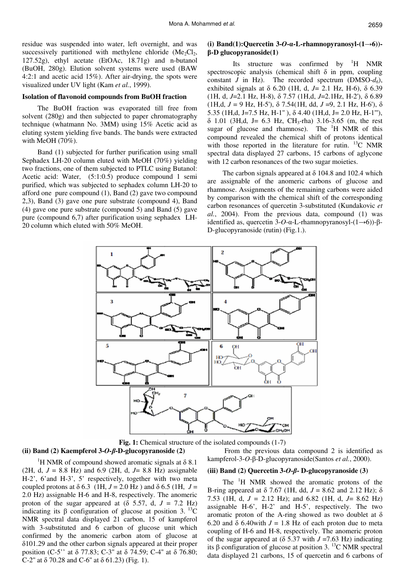residue was suspended into water, left overnight, and was successively partitioned with methylene chloride  $(Me_2Cl_2)$ , 127.52g), ethyl acetate (EtOAc, 18.71g) and n-butanol (BuOH, 280g). Elution solvent systems were used (BAW 4:2:1 and acetic acid 15%). After air-drying, the spots were visualized under UV light (Kam *et al.*, 1999).

#### **Isolation of flavonoid compounds from BuOH fraction**

The BuOH fraction was evaporated till free from solvent (280g) and then subjected to paper chromatography technique (whatmann No. 3MM) using 15% Acetic acid as eluting system yielding five bands. The bands were extracted with MeOH (70%).

Band (1) subjected for further purification using small Sephadex LH-20 column eluted with MeOH (70%) yielding two fractions, one of them subjected to PTLC using Butanol: Acetic acid: Water, (5:1:0.5) produce compound 1 semi purified, which was subjected to sephadex column LH-20 to afford one pure compound (1), Band (2) gave two compound 2,3), Band (3) gave one pure substrate (compound 4), Band (4) gave one pure substrate (compound 5) and Band (5) gave pure (compound 6,7) after purification using sephadex LH-20 column which eluted with 50% MeOH.

## **(i) Band(1):Quercetin 3-***O***-**α**-L-rhamnopyranosyl-(1**→**6))** β**-D glucopyranoside(1)**

Its structure was confirmed by <sup>1</sup>H NMR spectroscopic analysis (chemical shift  $\delta$  in ppm, coupling constant *J* in Hz). The recorded spectrum (DMSO- $d_6$ ), exhibited signals at δ 6.20 (1H, d, *J*= 2.1 Hz, H-6), δ 6.39 (1H, d, *J*=2.1 Hz, H-8), δ 7.57 (1H,d, *J*=2.1Hz, H-2'), δ 6.89 (1H,d,  $J = 9$  Hz, H-5'),  $\delta$  7.54(1H, dd,  $J = 9$ , 2.1 Hz, H-6'),  $\delta$ 5.35 (1H,d, J=7.5 Hz, H-1'' ), δ 4.40 (1H,d, J= 2.0 Hz, H-1'''),  $\delta$  1.01 (3H,d, J= 6.3 Hz, CH<sub>3</sub>-rha) 3.16-3.65 (m, the rest sugar of glucose and rhamnose). The <sup>1</sup>H NMR of this compound revealed the chemical shift of protons identical with those reported in the literature for rutin.  $^{13}$ C NMR spectral data displayed 27 carbons, 15 carbons of aglycone with 12 carbon resonances of the two sugar moieties.

The carbon signals appeared at  $\delta$  104.8 and 102.4 which are assignable of the anomeric carbons of glucose and rhamnose. Assignments of the remaining carbons were aided by comparison with the chemical shift of the corresponding carbon resonances of quercetin 3-substituted (Kundakovic *et al.*, 2004). From the previous data, compound (1) was identified as, quercetin 3-*O*-α-L-rhamnopyranosyl-(1→6))-β-D-glucopyranoside (rutin) (Fig.1.).



**Fig. 1:** Chemical structure of the isolated compounds (1-7)

#### **(ii) Band (2) Kaempferol 3-***O-*β**-D-glucopyranoside (2)**

<sup>1</sup>H NMR of compound showed aromatic signals at  $\delta$  8.1 (2H, d, *J* = 8.8 Hz) and 6.9 (2H, d, *J*= 8.8 Hz) assignable H-2', 6'and H-3', 5' respectively, together with two meta coupled protons at  $\delta$  6.3 (1H,  $J = 2.0$  Hz) and  $\delta$  6.5 (1H,  $J =$ 2.0 Hz) assignable H-6 and H-8, respectively. The anomeric proton of the sugar appeared at  $(\delta$  5.57, d,  $J = 7.2$  Hz) indicating its β configuration of glucose at position 3.<sup>13</sup>C NMR spectral data displayed 21 carbon, 15 of kampferol with 3-substituted and 6 carbon of glucose unit which confirmed by the anomeric carbon atom of glucose at δ101.29 and the other carbon signals appeared at their proper position (C-5'' at δ 77.83; C-3'' at δ 74.59; C-4'' at δ 76.80; C-2" at  $\delta$  70.28 and C-6" at  $\delta$  61.23) (Fig. 1).

 From the previous data compound 2 is identified as kampferol-3-*O*-β-D-glucopyranoside(Santos *et al.*, 2000).

## **(iii) Band (2) Quercetin 3-***O***-**β**- D-glucopyranoside (3)**

The <sup>1</sup>H NMR showed the aromatic protons of the B-ring appeared at δ 7.67 (1H, dd, *J* = 8.62 and 2.12 Hz); δ 7.53 (1H, d, *J =* 2.12 Hz); and 6.82 (1H, d, *J*= 8.62 Hz) assignable H-6', H-2' and H-5', respectively. The two aromatic proton of the A-ring showed as two doublet at  $\delta$ 6.20 and  $\delta$  6.40with  $J = 1.8$  Hz of each proton due to meta coupling of H-6 and H-8, respectively. The anomeric proton of the sugar appeared at  $(\delta 5.37 \text{ with } J = 7.63 \text{ Hz})$  indicating its β configuration of glucose at position 3. <sup>13</sup>C NMR spectral data displayed 21 carbons, 15 of quercetin and 6 carbons of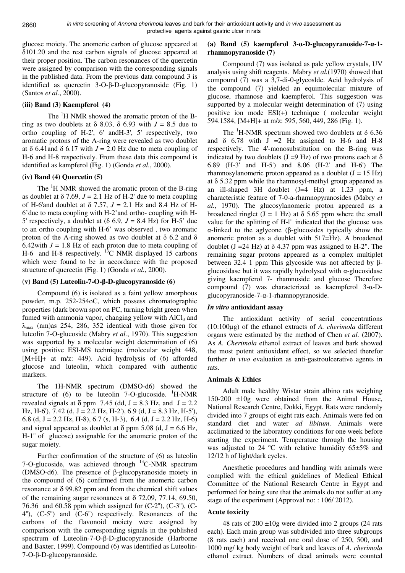2660

glucose moiety. The anomeric carbon of glucose appeared at δ101.20 and the rest carbon signals of glucose appeared at their proper position. The carbon resonances of the quercetin were assigned by comparison with the corresponding signals in the published data. From the previous data compound 3 is identified as quercetin 3-O-β-D-glucopyranoside (Fig. 1) (Santos *et al.*, 2000).

# **(iii) Band (3) Kaempferol (4)**

The <sup>1</sup>H NMR showed the aromatic proton of the Bring as two doublets at  $\delta$  8.03,  $\delta$  6.93 with  $J = 8.5$  due to ortho coupling of H-2', 6' andH-3', 5' respectively, two aromatic protons of the A-ring were revealed as two doublet at  $\delta$  6.41and  $\delta$  6.17 with  $J = 2.0$  Hz due to meta coupling of H-6 and H-8 respectively. From these data this compound is identified as kampferol (Fig. 1) (Gonda *et al.*, 2000).

# **(iv) Band (4) Quercetin (5)**

The <sup>1</sup>H NMR showed the aromatic proton of the B-ring as doublet at  $\delta$  7.69,  $J = 2.1$  Hz of H-2' due to meta coupling of H-6'and doublet at δ 7.57, *J* = 2.1 Hz and 8.4 Hz of H-6'due to meta coupling with H-2'and ortho- coupling with H-5' respectively, a doublet at  $(\delta 6.9, J = 8.4 \text{ Hz})$  for H-5' due to an ortho coupling with H-6' was observed , two aromatic proton of the A-ring showed as two doublet at  $\delta$  6.2 and  $\delta$ 6.42with  $J = 1.8$  Hz of each proton due to meta coupling of H-6 and H-8 respectively.  $^{13}$ C NMR displayed 15 carbons which were found to be in accordance with the proposed structure of quercetin (Fig. 1) (Gonda *et al.*, 2000).

# **(v) Band (5) Luteolin-7-O-**β**-D-glucopyranoside (6)**

Compound (6) is isolated as a faint yellow amorphous powder, m.p. 252-254oC, which possess chromatographic properties (dark brown spot on PC, turning bright green when fumed with ammonia vapor, changing yellow with AlCl<sub>3</sub> and  $\lambda_{\text{max}}$  (nm)as 254, 286, 352 identical with those given for luteolin 7-O-glucoside (Mabry *et al.*, 1970). This suggestion was supported by a molecular weight determination of (6) using positive ESI-MS technique (molecular weight 448, [M+H]+ at m/z: 449). Acid hydrolysis of (6) afforded glucose and luteolin, which compared with authentic markers.

The 1H-NMR spectrum (DMSO-d6) showed the structure of  $(6)$  to be luteolin 7-O-glucoside. <sup>1</sup>H-NMR revealed signals at  $\delta$  ppm 7.45 (dd, J = 8.3 Hz, and J = 2.2) Hz, H-6'),  $7.42$  (d, J = 2.2 Hz, H-2'), 6.9 (d, J = 8.3 Hz, H-5'), 6.8 (d, J = 2.2 Hz, H-8), 6.7 (s, H-3), 6.4 (d, J = 2.2 Hz, H-6) and signal appeared as doublet at  $\delta$  ppm 5.08 (d, J = 6.6 Hz, H-1'' of glucose) assignable for the anomeric proton of the sugar moiety.

Further confirmation of the structure of (6) as luteolin 7-O-glucoside, was achieved through  ${}^{13}$ C-NMR spectrum (DMSO-d6). The presence of β-glucopyranoside moiety in the compound of (6) confirmed from the anomeric carbon resonance at  $\delta$  99.82 ppm and from the chemical shift values of the remaining sugar resonances at  $\delta$  72.09, 77.14, 69.50, 76.36 and 60.58 ppm which assigned for  $(C-2)$ ,  $(C-3)$ ,  $(C-3)$ 4''), (C-5'') and (C-6'') respectively. Resonances of the carbons of the flavonoid moiety were assigned by comparison with the corresponding signals in the published spectrum of Luteolin-7-O-β-D-glucopyranoside (Harborne and Baxter, 1999). Compound (6) was identified as Luteolin-7-O-β-D-glucopyranoside.

# **(a) Band (5) kaempferol 3-**α**-D-glucopyranoside-7-**α**-1 rhamnopyranoside (7)**

Compound (7) was isolated as pale yellow crystals, UV analysis using shift reagents. Mabry *et al.*(1970) showed that compound (7) was a 3,7-di-0-glycoslde. Acid hydrolysis of the compound (7) yielded an equimolecular mixture of glucose, rhamnose and kaempferol. This suggestion was supported by a molecular weight determination of (7) using positive ion mode ESI(+) technique ( molecular weight 594.1584, [M+H]+ at m/z: 595, 560, 449, 286 (Fig. 1).

The <sup>1</sup>H-NMR spectrum showed two doublets at  $\delta$  6.36 and  $\delta$  6.78 with J = 2 Hz assigned to H-6 and H-8 respectively. The 4'-monosubstitution on the B-ring was indicated by two doublets (J = 9 Hz) of two protons each at  $\delta$ 6.89 (H-3' and H-5') and 8.06 (H-2' and H-6') The rhamnosylanomeric proton appeared as a doublet  $(J = 15 \text{ Hz})$ at δ 5.32 ppm while the rhamnosyl-methyl group appeared as an ill-shaped 3H doublet (J=4 Hz) at 1.23 ppm, a characteristic feature of 7-0-a-rhamnopyranosides (Mabry *et al.*, 1970). The glucosylanomeric proton appeared as a broadened ringlet  $(J = 1$  Hz) at  $\delta$  5.65 ppm where the small value for the splitting of H-l" indicated that the glucose was α-linked to the aglycone (β-glucosides typically show the anomeric proton as a doublet with 517=Hz). A broadened doublet (J = 24 Hz) at δ 4.37 ppm was assigned to H-2". The remaining sugar protons appeared as a complex multiplet between 32.4 1 ppm This glycoside was not affected by βglucosidase but it was rapidly hydrolysed with α-glucosidase giving kaempferol 7- rhamnoside and glucose Therefore compound (7) was characterized as kaempferol 3-α-Dglucopyranoside-7-α-1-rhamnopyranoside.

# *In vitro* **antioxidant assay**

The antioxidant activity of serial concentrations (10:100µg) of the ethanol extracts of *A. cherimola* different organs were estimated by the method of Chen *et al.* (2007). As *A. Cherimola* ethanol extract of leaves and bark showed the most potent antioxidant effect, so we selected therefor further *in vivo* evaluation as anti-gastroulcerative agents in rats.

# **Animals & Ethics**

Adult male healthy Wistar strain albino rats weighing 150-200 ±10g were obtained from the Animal House, National Research Centre, Dokki, Egypt. Rats were randomly divided into 7 groups of eight rats each. Animals were fed on standard diet and water *ad libitum*. Animals were acclimatized to the laboratory conditions for one week before starting the experiment. Temperature through the housing was adjusted to 24  $^{\circ}$ C with relative humidity 65 $\pm$ 5% and 12/12 h of light/dark cycles.

Anesthetic procedures and handling with animals were complied with the ethical guidelines of Medical Ethical Committee of the National Research Centre in Egypt and performed for being sure that the animals do not suffer at any stage of the experiment (Approval no: : 106/2012).

# **Acute toxicity**

48 rats of  $200 \pm 10$ g were divided into 2 groups (24 rats each). Each main group was subdivided into three subgroups (8 rats each) and received one oral dose of 250, 500, and 1000 mg/ kg body weight of bark and leaves of *A. cherimola* ethanol extract. Numbers of dead animals were counted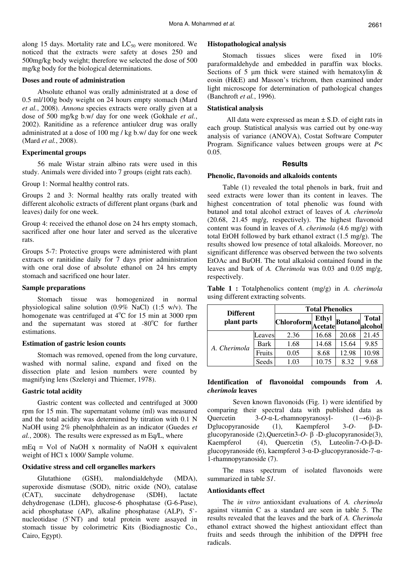along 15 days. Mortality rate and  $LC_{50}$  were monitored. We noticed that the extracts were safety at doses 250 and 500mg/kg body weight; therefore we selected the dose of 500 mg/kg body for the biological determinations.

#### **Doses and route of administration**

Absolute ethanol was orally administrated at a dose of 0.5 ml/100g body weight on 24 hours empty stomach (Mard *et al.*, 2008). *Annona* species extracts were orally given at a dose of 500 mg/kg b.w/ day for one week (Gokhale *et al.*, 2002). Ranitidine as a reference antiulcer drug was orally administrated at a dose of 100 mg / kg b.w/ day for one week (Mard *et al.*, 2008).

### **Experimental groups**

56 male Wistar strain albino rats were used in this study. Animals were divided into 7 groups (eight rats each).

Group 1: Normal healthy control rats.

Groups 2 and 3: Normal healthy rats orally treated with different alcoholic extracts of different plant organs (bark and leaves) daily for one week.

Group 4: received the ethanol dose on 24 hrs empty stomach, sacrificed after one hour later and served as the ulcerative rats.

Groups 5-7: Protective groups were administered with plant extracts or ranitidine daily for 7 days prior administration with one oral dose of absolute ethanol on 24 hrs empty stomach and sacrificed one hour later.

#### **Sample preparations**

Stomach tissue was homogenized in normal physiological saline solution (0.9% NaCl) (1:5 w/v). The homogenate was centrifuged at 4°C for 15 min at 3000 rpm and the supernatant was stored at  $-80^{\circ}$ C for further estimations.

# **Estimation of gastric lesion counts**

Stomach was removed, opened from the long curvature, washed with normal saline, expand and fixed on the dissection plate and lesion numbers were counted by magnifying lens (Szelenyi and Thiemer, 1978).

# **Gastric total acidity**

Gastric content was collected and centrifuged at 3000 rpm for 15 min. The supernatant volume (ml) was measured and the total acidity was determined by titration with 0.1 N NaOH using 2% phenolphthalein as an indicator (Guedes *et al.*, 2008). The results were expressed as m Eq/L, where

mEq = Vol of NaOH x normality of NaOH x equivalent weight of HCl x 1000/ Sample volume.

# **Oxidative stress and cell organelles markers**

Glutathione (GSH), malondialdehyde (MDA), superoxide dismutase (SOD), nitric oxide (NO), catalase (CAT), succinate dehydrogenase (SDH), lactate dehydrogenase (LDH), glucose-6 phosphatase (G-6-Pase), acid phosphatase (AP), alkaline phosphatase (ALP), 5` nucleotidase (5`NT) and total protein were assayed in stomach tissue by colorimetric Kits (Biodiagnostic Co., Cairo, Egypt).

#### **Histopathological analysis**

Stomach tissues slices were fixed in 10% paraformaldehyde and embedded in paraffin wax blocks. Sections of 5  $\mu$ m thick were stained with hematoxylin & eosin (H&E) and Masson's trichrom, then examined under light microscope for determination of pathological changes (Banchroft *et al.*, 1996).

### **Statistical analysis**

All data were expressed as mean  $\pm$  S.D. of eight rats in each group. Statistical analysis was carried out by one-way analysis of variance (ANOVA), Costat Software Computer Program. Significance values between groups were at *P*< 0.05.

### **Results**

# **Phenolic, flavonoids and alkaloids contents**

Table (1) revealed the total phenols in bark, fruit and seed extracts were lower than its content in leaves. The highest concentration of total phenolic was found with butanol and total alcohol extract of leaves of *A. cherimola*  (20.68, 21.45 mg/g, respectively). The highest flavonoid content was found in leaves of *A. cherimola* (4.6 mg/g) with total EtOH followed by bark ethanol extract (1.5 mg/g). The results showed low presence of total alkaloids. Moreover, no significant difference was observed between the two solvents EtOAc and BuOH. The total alkaloid contained found in the leaves and bark of *A. Cherimola* was 0.03 and 0.05 mg/g, respectively.

| <b>Table 1 :</b> Totalphenolics content (mg/g) in A. <i>cherimola</i> |  |  |  |
|-----------------------------------------------------------------------|--|--|--|
| using different extracting solvents.                                  |  |  |  |

| <b>Different</b><br>plant parts |        |                   | <b>Total Phenolics</b>  |                |                         |  |  |  |  |  |
|---------------------------------|--------|-------------------|-------------------------|----------------|-------------------------|--|--|--|--|--|
|                                 |        | <b>Chloroform</b> | <b>Ethyl</b><br>Acetate | <b>Butanol</b> | <b>Total</b><br>alcohol |  |  |  |  |  |
|                                 | eaves  | 2.36              | 16.68                   | 20.68          | 21.45                   |  |  |  |  |  |
| A. Cherimola                    | Bark   | 1.68              | 14.68                   | 15.64          | 9.85                    |  |  |  |  |  |
|                                 | Fruits | 0.05              | 8.68                    | 12.98          | 10.98                   |  |  |  |  |  |
|                                 | Seeds  | .03               | 10.75                   | 8.32           | 9.68                    |  |  |  |  |  |

# **Identification of flavonoidal compounds from** *A. cherimola* **leaves**

 Seven known flavonoids (Fig. 1) were identified by comparing their spectral data with published data as Quercetin 3-*O*-α-L-rhamnopyranosyl- (1→6))-β-Dglucopyranoside (1), Kaempferol 3-*O-* β-Dglucopyranoside (2),Quercetin3-*O*- β -D-glucopyranoside(3), Kaempferol (4), Quercetin (5), Luteolin-7-O-β-Dglucopyranoside (6), kaempferol 3-α-D-glucopyranoside-7-α-1-rhamnopyranoside (7).

The mass spectrum of isolated flavonoids were summarized in table *S1*.

#### **Antioxidants effect**

The *in vitro* antioxidant evaluations of *A. cherimola* against vitamin C as a standard are seen in table 5. The results revealed that the leaves and the bark of *A. Cherimola* ethanol extract showed the highest antioxidant effect than fruits and seeds through the inhibition of the DPPH free radicals.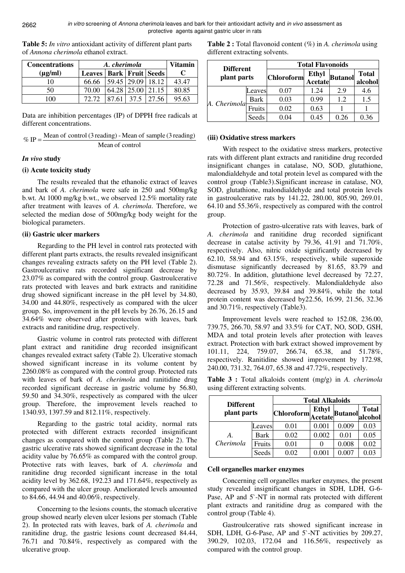| <b>Concentrations</b> | A. cherimola                  | <b>Vitamin</b>    |                  |       |
|-----------------------|-------------------------------|-------------------|------------------|-------|
| $(\mu g/ml)$          | Leaves   Bark   Fruit   Seeds |                   |                  |       |
| 10                    | 66.66                         | 59.45 29.09 18.12 |                  | 43.47 |
| 50                    | 70.00                         | 64.28 25.00 21.15 |                  | 80.85 |
| ഥറ                    | 72.72                         | 37.5              | <sup>27.56</sup> | 95.63 |

**Table 5:** *In vitro* antioxidant activity of different plant parts of *Annona cherimola* ethanol extract.

Data are inhibition percentages (IP) of DPPH free radicals at different concentrations.

| $\%$ IP $=\frac{1}{2}$ | Mean of control (3 reading) - Mean of sample (3 reading) |
|------------------------|----------------------------------------------------------|
|                        | Mean of control                                          |

# *In vivo* **study**

# **(i) Acute toxicity study**

The results revealed that the ethanolic extract of leaves and bark of *A. cherimola* were safe in 250 and 500mg/kg b.wt. At 1000 mg/kg b.wt., we observed 12.5% mortality rate after treatment with leaves of *A. cherimola*. Therefore, we selected the median dose of 500mg/kg body weight for the biological parameters.

# **(ii) Gastric ulcer markers**

Regarding to the PH level in control rats protected with different plant parts extracts, the results revealed insignificant changes revealing extracts safety on the PH level (Table 2). Gastroulcerative rats recorded significant decrease by 23.07% as compared with the control group. Gastroulcerative rats protected with leaves and bark extracts and ranitidine drug showed significant increase in the pH level by 34.80, 34.00 and 44.80%, respectively as compared with the ulcer group. So, improvement in the pH levels by 26.76, 26.15 and 34.64% were observed after protection with leaves, bark extracts and ranitidine drug, respectively.

Gastric volume in control rats protected with different plant extract and ranitidine drug recorded insignificant changes revealed extract safety (Table 2). Ulcerative stomach showed significant increase in its volume content by 2260.08% as compared with the control group. Protected rats with leaves of bark of *A. cherimola* and ranitidine drug recorded significant decrease in gastric volume by 56.80, 59.50 and 34.30%, respectively as compared with the ulcer group. Therefore, the improvement levels reached to 1340.93, 1397.59 and 812.11%, respectively.

Regarding to the gastric total acidity, normal rats protected with different extracts recorded insignificant changes as compared with the control group (Table 2). The gastric ulcerative rats showed significant decrease in the total acidity value by 76.65% as compared with the control group. Protective rats with leaves, bark of *A. cherimola* and ranitidine drug recorded significant increase in the total acidity level by 362.68, 192.23 and 171.64%, respectively as compared with the ulcer group. Ameliorated levels amounted to 84.66, 44.94 and 40.06%, respectively.

Concerning to the lesions counts, the stomach ulcerative group showed nearly eleven ulcer lesions per stomach (Table 2). In protected rats with leaves, bark of *A. cherimola* and ranitidine drug, the gastric lesions count decreased 84.44, 76.71 and 70.84%, respectively as compared with the ulcerative group.

| different extracting solvents. |  |                         |  |              |  |  |  |
|--------------------------------|--|-------------------------|--|--------------|--|--|--|
| <b>Different</b>               |  | <b>Total Flavonoids</b> |  |              |  |  |  |
| nlant nauta                    |  | <b>Ethyl</b>            |  | <b>Total</b> |  |  |  |

**Table 2 :** Total flavonoid content (%) in *A. cherimola* using

| <b>Different</b><br>plant parts |        |                   |                                              |      |                         |  |
|---------------------------------|--------|-------------------|----------------------------------------------|------|-------------------------|--|
|                                 |        | <b>Chloroform</b> | <b>Ethyl</b><br><sup>1</sup> Acetate Butanol |      | <b>Total</b><br>alcohol |  |
|                                 | Leaves | 0.07              | 1.24                                         | 2.9  | 4.6                     |  |
| A. Cherimola                    | Bark   | 0.03              | 0.99                                         | 1.2  | 1.5                     |  |
|                                 | Fruits | 0.02              | 0.63                                         |      |                         |  |
|                                 | Seeds  | 0.04              | 0.45                                         | 0.26 | 0.36                    |  |

# **(iii) Oxidative stress markers**

With respect to the oxidative stress markers, protective rats with different plant extracts and ranitidine drug recorded insignificant changes in catalase, NO, SOD, glutathione, malondialdehyde and total protein level as compared with the control group (Table3).Significant increase in catalase, NO, SOD, glutathione, malondialdehyde and total protein levels in gastroulcerative rats by 141.22, 280.00, 805.90, 269.01, 64.10 and 55.36%, respectively as compared with the control group.

Protection of gastro-ulcerative rats with leaves, bark of *A. cherimola* and ranitidine drug recorded significant decrease in catalse activity by 79.36, 41.91 and 71.70%, respectively. Also, nitric oxide significantly decreased by 62.10, 58.94 and 63.15%, respectively, while superoxide dismutase significantly decreased by 81.65, 83.79 and 80.72%. In addition, glutathione level decreased by 72.27, 72.28 and 71.56%, respectively. Malondialdehyde also decreased by 35.93, 39.84 and 39.84%, while the total protein content was decreased by22.56, 16.99, 21.56, 32.36 and 30.71%, respectively (Table3).

Improvement levels were reached to 152.08, 236.00, 739.75, 266.70, 58.97 and 33.5% for CAT, NO, SOD, GSH, MDA and total protein levels after protection with leaves extract. Protection with bark extract showed improvement by 101.11, 224, 759.07, 266.74, 65.38, and 51.78%, respectively. Ranitidine showed improvement by 172.98, 240.00, 731.32, 764.07, 65.38 and 47.72%, respectively.

**Table 3 :** Total alkaloids content (mg/g) in *A. cherimola* using different extracting solvents.

| <b>Different</b> |        | <b>Total Alkaloids</b> |                   |                 |              |  |  |  |  |
|------------------|--------|------------------------|-------------------|-----------------|--------------|--|--|--|--|
| plant parts      |        | <b>Chloroform</b>      | Ethyl<br> Acetate | Butanol alcohol | <b>Total</b> |  |  |  |  |
|                  | Leaves | 0.01                   | 0.001             | 0.009           | 0.03         |  |  |  |  |
| A.               | Bark   | 0.02                   | 0.002             | 0.01            | 0.05         |  |  |  |  |
| Cherimola        | Fruits | 0.01                   |                   | 0.008           | 0.02         |  |  |  |  |
|                  | Seeds  | 0.02                   |                   |                 | 0.03         |  |  |  |  |

# **Cell organelles marker enzymes**

Concerning cell organelles marker enzymes, the present study revealed insignificant changes in SDH, LDH, G-6- Pase, AP and 5`-NT in normal rats protected with different plant extracts and ranitidine drug as compared with the control group (Table 4).

Gastroulcerative rats showed significant increase in SDH, LDH, G-6-Pase, AP and 5`-NT activities by 209.27, 390.29, 102.03, 172.04 and 116.56%, respectively as compared with the control group.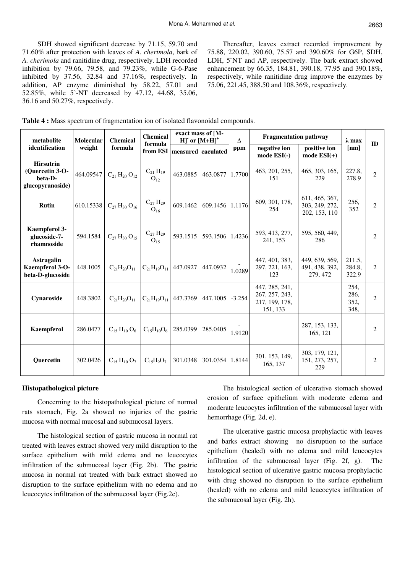SDH showed significant decrease by 71.15, 59.70 and 71.60% after protection with leaves of *A. cherimola*, bark of *A. cherimola* and ranitidine drug, respectively. LDH recorded inhibition by 79.66, 79.58, and 79.23%, while G-6-Pase inhibited by 37.56, 32.84 and 37.16%, respectively. In addition, AP enzyme diminished by 58.22, 57.01 and 52.85%, while 5`-NT decreased by 47.12, 44.68, 35.06, 36.16 and 50.27%, respectively.

Thereafter, leaves extract recorded improvement by 75.88, 220.02, 390.60, 75.57 and 390.60% for G6P, SDH, LDH, 5`NT and AP, respectively. The bark extract showed enhancement by 66.35, 184.81, 390.18, 77.95 and 390.18%, respectively, while ranitidine drug improve the enzymes by 75.06, 221.45, 388.50 and 108.36%, respectively.

| Table 4 : Mass spectrum of fragmentation ion of isolated flavonoidal compounds. |  |  |
|---------------------------------------------------------------------------------|--|--|
|---------------------------------------------------------------------------------|--|--|

| metabolite                                                         | <b>Molecular</b>                                               | <b>Chemical</b>        | <b>Chemical</b>                    | exact mass of [M-<br>$H$ ] or $[M+H]$ <sup>+</sup> |                               | $\Lambda$                     | <b>Fragmentation pathway</b>                                   |                                                   | $\lambda$ max                |                |
|--------------------------------------------------------------------|----------------------------------------------------------------|------------------------|------------------------------------|----------------------------------------------------|-------------------------------|-------------------------------|----------------------------------------------------------------|---------------------------------------------------|------------------------------|----------------|
| identification                                                     | formula<br>weight<br>formula<br>from ESI<br>measured caculated |                        |                                    | ppm                                                | negative ion<br>mode $ESI(-)$ | positive ion<br>mode $ESI(+)$ | [nm]                                                           | ID                                                |                              |                |
| <b>Hirsutrin</b><br>(Ouercetin 3-O-<br>beta-D-<br>glucopyranoside) | 464.09547                                                      | $C_{21} H_{20} O_{12}$ | $C_{21} H_{19}$<br>O <sub>12</sub> | 463.0885                                           | 463.0877                      | 1.7700                        | 463, 201, 255,<br>151                                          | 465, 303, 165,<br>229                             | 227.8,<br>278.9              | $\overline{2}$ |
| <b>Rutin</b>                                                       | 610.15338                                                      | $C_{27} H_{30} O_{16}$ | $C_{27} H_{29}$<br>O <sub>16</sub> | 609.1462                                           | 609.1456 1.1176               |                               | 609, 301, 178,<br>254                                          | 611, 465, 367,<br>303, 249, 272,<br>202, 153, 110 | 256.<br>352                  | $\overline{2}$ |
| Kaempferol 3-<br>glucoside-7-<br>rhamnoside                        | 594.1584                                                       | $C_{27}H_{30}O_{15}$   | $C_{27}H_{29}$<br>O <sub>15</sub>  | 593.1515                                           | 593.1506                      | 1.4236                        | 593, 413, 277,<br>241, 153                                     | 595, 560, 449,<br>286                             |                              | $\overline{2}$ |
| <b>Astragalin</b><br>Kaempferol 3-O-<br>beta-D-glucoside           | 448.1005                                                       | $C_{21}H_{20}O_{11}$   | $C_{21}H_{19}O_{11}$               | 447.0927                                           | 447.0932                      | 1.0289                        | 447, 401, 383,<br>297, 221, 163,<br>123                        | 449, 639, 569,<br>491, 438, 392,<br>279, 472      | 211.5,<br>284.8,<br>322.9    | 2              |
| Cynaroside                                                         | 448.3802                                                       | $C_{21}H_{20}O_{11}$   | $C_{21}H_{19}O_{11}$               | 447.3769                                           | 447.1005                      | $-3.254$                      | 447, 285, 241,<br>267, 257, 243,<br>217, 199, 178,<br>151, 133 |                                                   | 254,<br>286,<br>352,<br>348, | $\overline{2}$ |
| <b>Kaempferol</b>                                                  | 286.0477                                                       | $C_{15} H_{10} O_6$    | $C_{15}H_{10}O_6$                  | 285.0399                                           | 285.0405                      | 1.9120                        |                                                                | 287, 153, 133,<br>165, 121                        |                              | $\overline{2}$ |
| Quercetin                                                          | 302.0426                                                       | $C_{15} H_{10} O_7$    | $C_{15}H_{9}O_{7}$                 | 301.0348                                           | 301.0354                      | 1.8144                        | 301, 153, 149,<br>165, 137                                     | 303, 179, 121,<br>151, 273, 257,<br>229           |                              | $\overline{2}$ |

#### **Histopathological picture**

Concerning to the histopathological picture of normal rats stomach, Fig. 2a showed no injuries of the gastric mucosa with normal mucosal and submucosal layers.

The histological section of gastric mucosa in normal rat treated with leaves extract showed very mild disruption to the surface epithelium with mild edema and no leucocytes infiltration of the submucosal layer (Fig. 2b). The gastric mucosa in normal rat treated with bark extract showed no disruption to the surface epithelium with no edema and no leucocytes infiltration of the submucosal layer (Fig.2c).

The histological section of ulcerative stomach showed erosion of surface epithelium with moderate edema and moderate leucocytes infiltration of the submucosal layer with hemorrhage (Fig. 2d, e).

The ulcerative gastric mucosa prophylactic with leaves and barks extract showing no disruption to the surface epithelium (healed) with no edema and mild leucocytes infiltration of the submucosal layer (Fig. 2f, g). The histological section of ulcerative gastric mucosa prophylactic with drug showed no disruption to the surface epithelium (healed) with no edema and mild leucocytes infiltration of the submucosal layer (Fig. 2h).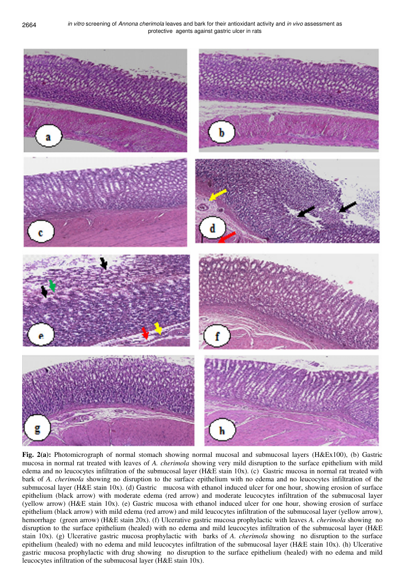

**Fig. 2(a):** Photomicrograph of normal stomach showing normal mucosal and submucosal layers (H&Ex100), (b) Gastric mucosa in normal rat treated with leaves of *A. cherimola* showing very mild disruption to the surface epithelium with mild edema and no leucocytes infiltration of the submucosal layer (H&E stain 10x). (c) Gastric mucosa in normal rat treated with bark of *A. cherimola* showing no disruption to the surface epithelium with no edema and no leucocytes infiltration of the submucosal layer (H&E stain 10x). (d) Gastric mucosa with ethanol induced ulcer for one hour, showing erosion of surface epithelium (black arrow) with moderate edema (red arrow) and moderate leucocytes infiltration of the submucosal layer (yellow arrow) (H&E stain 10x). (e) Gastric mucosa with ethanol induced ulcer for one hour, showing erosion of surface epithelium (black arrow) with mild edema (red arrow) and mild leucocytes infiltration of the submucosal layer (yellow arrow), hemorrhage (green arrow) (H&E stain 20x). (f) Ulcerative gastric mucosa prophylactic with leaves *A. cherimola* showing no disruption to the surface epithelium (healed) with no edema and mild leucocytes infiltration of the submucosal layer (H&E stain 10x). (g) Ulcerative gastric mucosa prophylactic with barks of *A. cherimola* showing no disruption to the surface epithelium (healed) with no edema and mild leucocytes infiltration of the submucosal layer (H&E stain 10x). (h) Ulcerative gastric mucosa prophylactic with drug showing no disruption to the surface epithelium (healed) with no edema and mild leucocytes infiltration of the submucosal layer (H&E stain 10x).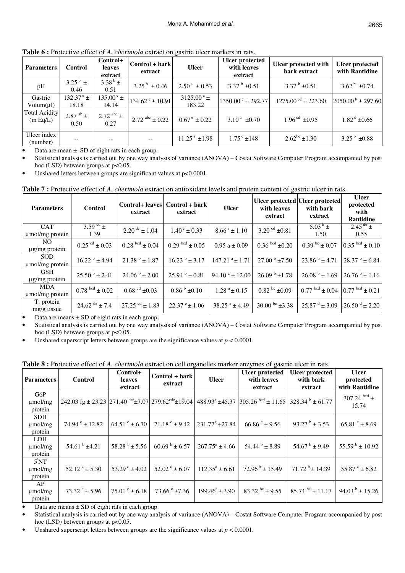**Table 6 :** Protective effect of *A. cherimola* extract on gastric ulcer markers in rats.

| <b>Parameters</b>                | <b>Control</b>                               | Control+<br>leaves<br>extract | $Control + bark$<br>extract   | <b>Ulcer</b>                      | <b>Ulcer protected</b><br>with leaves<br>extract | Ulcer protected with<br>bark extract | Ulcer protected<br>with Rantidine |
|----------------------------------|----------------------------------------------|-------------------------------|-------------------------------|-----------------------------------|--------------------------------------------------|--------------------------------------|-----------------------------------|
| pH                               | $3.25^{b}$ ±<br>0.46                         | $3.38^{b} \pm$<br>0.51        | $3.25^{\mathrm{b}} \pm 0.46$  | $2.50^{\text{a}} \pm 0.53$        | 3.37 $\frac{b}{2}$ ±0.51                         | 3.37 $\frac{b}{2}$ ±0.51             | $3.62^{\mathrm{b}} \pm 0.74$      |
| Gastric<br>Volume(u)             | $132.37^{\circ}$ ±<br>18.18                  | $135.00^{\circ}$ ±<br>14.14   | $134.62 e^{\theta} \pm 10.91$ | $3125.00^{\text{ a}}$ ±<br>183.22 | $1350.00^{\circ} \pm 292.77$                     | $1275.00^{\text{ cd}}$ ± 223.60      | $2050.00^{\mathrm{b}} \pm 297.60$ |
| <b>Total Acidity</b><br>(m Eq/L) | 2.87 $\mathrm{^{ab}}$ $\mathrm{\pm}$<br>0.50 | 2.72 $abc \pm$<br>0.27        | $2.72$ abc $\pm 0.22$         | $0.67^{\circ} \pm 0.22$           | $3.10^{\text{a}} \pm 0.70$                       | $1.96^{\text{cd}} \pm 0.95$          | $1.82^{\mathrm{d}}$ ±0.66         |
| Ulcer index<br>(number)          | $- -$                                        | --                            | $-$                           | $11.25^{\text{a}}$ ±1.98          | $1.75^{\circ}$ ±148                              | $2.62^{bc}$ ±1.30                    | $3.25^{b}$ ±0.88                  |

Data are mean  $\pm$  SD of eight rats in each group.

• Statistical analysis is carried out by one way analysis of variance (ANOVA) – Costat Software Computer Program accompanied by post hoc (LSD) between groups at  $p<0.05$ .

Unshared letters between groups are significant values at  $p<0.0001$ .

| <b>Parameters</b>                | <b>Control</b>                  | extract                          | Control+ leaves Control + bark<br>extract | <b>Ulcer</b>                 | Ulcer protected Ulcer protected<br>with leaves<br>extract | with bark<br>extract                             | <b>Ulcer</b><br>protected<br>with<br>Rantidine |
|----------------------------------|---------------------------------|----------------------------------|-------------------------------------------|------------------------------|-----------------------------------------------------------|--------------------------------------------------|------------------------------------------------|
| <b>CAT</b><br>umol/mg protein    | 3.59 $^{cd}$ ±<br>1.39          | $2.20^{de} \pm 1.04$             | $1.40^{\circ} \pm 0.33$                   | $8.66^{\text{a}} \pm 1.10$   | 3.20 <sup>cd</sup> $\pm 0.81$                             | $5.03^{b}$ ±<br>1.50                             | $2.45^{\text{de}}$ ±<br>0.55                   |
| NO.<br>$\mu$ g/mg protein        | $0.25$ <sup>cd</sup> $\pm 0.03$ | $0.28^{bcd} \pm 0.04$            | $0.29^{bcd} \pm 0.05$                     | $0.95 a \pm 0.09$            | $0.36^{bcd} \pm 0.20$                                     | $0.39^{bc} \pm 0.07$                             | $0.35$ bcd $\pm 0.10$                          |
| <b>SOD</b><br>umol/mg protein    | $16.22^{\text{b}} \pm 4.94$     | $21.38^{b} \pm 1.87$             | $16.23^{b} \pm 3.17$                      | $147.21$ <sup>a</sup> ± 1.71 | $27.00^{b} \pm 7.50$                                      | $23.86^{b} \pm 4.71$                             | $28.37^{b} \pm 6.84$                           |
| <b>GSH</b><br>$\mu$ g/mg protein | $25.50^{\mathrm{b}} \pm 2.41$   | $24.06^{b} \pm 2.00$             | $25.94^{b} \pm 0.81$                      | $94.10^{a} \pm 12.00$        | $26.09^{b} \pm 1.78$                                      | $26.08^{b} \pm 1.69$                             | $26.76^{b} \pm 1.16$                           |
| <b>MDA</b><br>umol/mg protein    | $0.78^{bcd} \pm 0.02$           | $0.68 \text{°d} \pm 0.03$        | $0.86^{b} \pm 0.10$                       | $1.28^{\text{a}} \pm 0.15$   | $0.82^{bc}$ ±0.09                                         | $0.77^{bcd} \pm 0.04$ 0.77 <sup>bcd</sup> ± 0.21 |                                                |
| T. protein<br>$mg/g$ tissue      | 24.62 $de \pm 7.4$              | $27.25$ <sup>cd</sup> $\pm$ 1.83 | $22.37^{\circ} \pm 1.06$                  | $38.25$ <sup>a</sup> ± 4.49  | 30.00 bc $\pm 3.38$                                       | $25.87^{\text{ d}} \pm 3.09$                     | $26.50^{\mathrm{d}} \pm 2.20$                  |

**Table 7 :** Protective effect of *A. cherimola* extract on antioxidant levels and protein content of gastric ulcer in rats.

Data are means  $\pm$  SD of eight rats in each group.

• Statistical analysis is carried out by one way analysis of variance (ANOVA) – Costat Software Computer Program accompanied by post hoc (LSD) between groups at  $p<0.05$ .

Unshared superscript letters between groups are the significance values at  $p < 0.0001$ .

**Table 8 :** Protective effect of *A. cherimola* extract on cell organelles marker enzymes of gastric ulcer in rats.

| <b>Parameters</b>                     | <b>Control</b>            | Control+<br>leaves<br>extract | Control + bark<br>extract | <b>Ulcer</b>              | Ulcer protected<br>with leaves<br>extract                                                                                                                          | Ulcer protected<br>with bark<br>extract    | <b>Ulcer</b><br>protected<br>with Rantidine |
|---------------------------------------|---------------------------|-------------------------------|---------------------------|---------------------------|--------------------------------------------------------------------------------------------------------------------------------------------------------------------|--------------------------------------------|---------------------------------------------|
| G6P<br>$\mu$ mol/mg<br>protein        |                           |                               |                           |                           | 242.03 fg ± 23.23 271.40 $\text{def}$ ±7.07 279.62 $\text{c}^{\text{cde}}$ ±19.04 488.93 <sup>a</sup> ±45.37 305.26 $\text{bcd}$ ± 11.65 328.34 $\text{b}$ ± 61.77 |                                            | $307.24$ bcd $\pm$<br>15.74                 |
| <b>SDH</b><br>$\mu$ mol/mg<br>protein | $74.94^{\circ} \pm 12.82$ | $64.51^{\circ} \pm 6.70$      | $71.18^{\circ} \pm 9.42$  | $231.77^{\circ}$ ± 27.84  | $66.86^{\circ} \pm 9.56$                                                                                                                                           | $93.27^{\mathrm{b}} \pm 3.53^{\mathrm{c}}$ | $65.81^{\circ} \pm 8.69$                    |
| <b>LDH</b><br>$\mu$ mol/mg<br>protein | 54.61 $^{\rm b}$ ±4.21    | $58.28^{b} \pm 5.56$          | $60.69^{b} \pm 6.57$      | $267.75^{\circ} \pm 4.66$ | $54.44^{b} \pm 8.89$                                                                                                                                               | 54.67 $b + 9.49$                           | $55.59^{b} \pm 10.92$                       |
| 5'NT<br>$\mu$ mol/mg<br>protein       | $52.12^{\circ} \pm 5.30$  | $53.29^{\circ} \pm 4.02$      | $52.02^{\circ} \pm 6.07$  | $112.35^a \pm 6.61$       | $72.96^{\mathrm{b}} \pm 15.49$                                                                                                                                     | $71.72^{\text{b}} \pm 14.39$               | $55.87^{\circ} \pm 6.82$                    |
| AP<br>$\mu$ mol/mg<br>protein         | $73.32^{\circ} \pm 5.96$  | $75.01^{\circ} \pm 6.18$      | $73.66^{\circ}$ ±7.36     | $199.46^a \pm 3.90$       | 83.32 bc $\pm$ 9.55                                                                                                                                                | $85.74^{bc} \pm 11.17$                     | $94.03^{b} \pm 15.26$                       |

Data are means  $\pm$  SD of eight rats in each group.

• Statistical analysis is carried out by one way analysis of variance (ANOVA) – Costat Software Computer Program accompanied by post hoc (LSD) between groups at p<0.05.

Unshared superscript letters between groups are the significance values at  $p < 0.0001$ .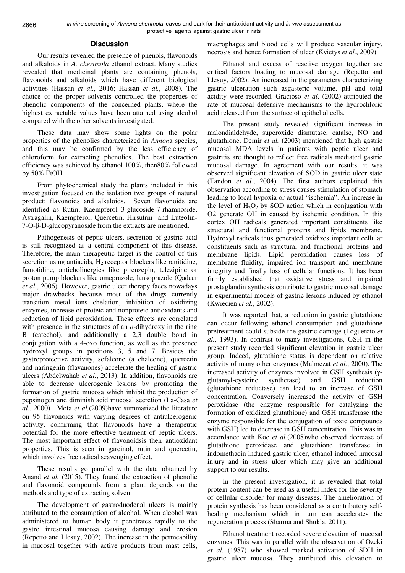#### **Discussion**

Our results revealed the presence of phenols, flavonoids and alkaloids in *A. cherimola* ethanol extract. Many studies revealed that medicinal plants are containing phenols, flavonoids and alkaloids which have different biological activities (Hassan *et al.*, 2016; Hassan *et al.*, 2008). The choice of the proper solvents controlled the properties of phenolic components of the concerned plants, where the highest extractable values have been attained using alcohol compared with the other solvents investigated.

These data may show some lights on the polar properties of the phenolics characterized in *Annon*a species, and this may be confirmed by the less efficiency of chloroform for extracting phenolics. The best extraction efficiency was achieved by ethanol 100%, then80% followed by 50% EtOH.

From phytochemical study the plants included in this investigation focused on the isolation two groups of natural product; flavonoids and alkaloids. Seven flavonoids are identified as Rutin, Kaempferol 3-glucoside-7-rhamnoside, Astragalin, Kaempferol, Quercetin, Hirsutrin and Luteolin-7-O-β-D-glucopyranoside from the extracts are mentioned.

Pathogenesis of peptic ulcers, secretion of gastric acid is still recognized as a central component of this disease. Therefore, the main therapeutic target is the control of this secretion using antiacids,  $H_2$  receptor blockers like ranitidine, famotidine, anticholinergics like pirenzepin, telezipine or proton pump blockers like omeprazole, lansoprazole (Qadeer *et al.*, 2006). However, gastric ulcer therapy faces nowadays major drawbacks because most of the drugs currently transition metal ions chelation, inhibition of oxidizing enzymes, increase of proteic and nonproteic antioxidants and reduction of lipid peroxidation. These effects are correlated with presence in the structures of an *o*-dihydroxy in the ring B (catechol), and additionally a 2,3 double bond in conjugation with a 4-oxo function, as well as the presence hydroxyl groups in positions 3, 5 and 7. Besides the gastroprotective activity, sofalcone (a chalcone), quercetin and naringenin (flavanones) accelerate the healing of gastric ulcers (Abdelwahab *et al.*, 2013). In addition, flavonoids are able to decrease ulcerogenic lesions by promoting the formation of gastric mucosa which inhibit the production of pepsinogen and diminish acid mucosal secretion (La-Casa *et al.*, 2000). Mota *et al.*(2009)have summarized the literature on 95 flavonoids with varying degrees of antiulcerogenic activity, confirming that flavonoids have a therapeutic potential for the more effective treatment of peptic ulcers. The most important effect of flavonoidsis their antioxidant properties. This is seen in garcinol, rutin and quercetin, which involves free radical scavenging effect.

These results go parallel with the data obtained by Anand *et al.* (2015). They found the extraction of phenolic and flavonoid compounds from a plant depends on the methods and type of extracting solvent.

The development of gastroduodenal ulcers is mainly attributed to the consumption of alcohol. When alcohol was administered to human body it penetrates rapidly to the gastro intestinal mucosa causing damage and erosion (Repetto and Llesuy, 2002). The increase in the permeability in mucosal together with active products from mast cells,

macrophages and blood cells will produce vascular injury, necrosis and hence formation of ulcer (Kvietys *et al.*, 2009).

Ethanol and excess of reactive oxygen together are critical factors loading to mucosal damage (Repetto and Llesuy, 2002). An increased in the parameters characterizing gastric ulceration such asgasteric volume, pH and total acidity were recorded. Gracioso *et al*. (2002) attributed the rate of mucosal defensive mechanisms to the hydrochloric acid released from the surface of epithelial cells.

The present study revealed significant increase in malondialdehyde, superoxide dismutase, catalse, NO and glutathione. Demir *et al.* (2003) mentioned that high gastric mucosal MDA levels in patients with peptic ulcer and gastritis are thought to reflect free radicals mediated gastric mucosal damage. In agreement with our results, it was observed significant elevation of SOD in gastric ulcer state (Tandon *et al.*, 2004). The first authors explained this observation according to stress causes stimulation of stomach leading to local hypoxia or actual "ischemia". An increase in the level of  $H_2O_2$  by SOD action which in conjugation with O2 generate OH in caused by ischemic condition. In this cortex OH radicals generated important constituents like structural and functional proteins and lipids membrane. Hydroxyl radicals thus generated oxidizes important cellular constituents such as structural and functional proteins and membrane lipids. Lipid peroxidation causes loss of membrane fluidity, impaired ion transport and membrane integrity and finally loss of cellular functions. It has been firmly established that oxidative stress and impaired prostaglandin synthesis contribute to gastric mucosal damage in experimental models of gastric lesions induced by ethanol (Kwiecien *et al.*, 2002).

It was reported that, a reduction in gastric glutathione can occur following ethanol consumption and glutathione pretreatment could subside the gastric damage (Loguercio *et al.*, 1993). In contrast to many investigations, GSH in the present study recorded significant elevation in gastric ulcer group. Indeed, glutathione status is dependent on relative activity of many other enzymes (Malmezat *et al.*, 2000). The increased activity of enzymes involved in GSH synthesis (γglutamyl-cysteine synthetase) and GSH reduction (glutathione reductase) can lead to an increase of GSH concentration. Conversely increased the activity of GSH peroxidase (the enzyme responsible for catalyzing the formation of oxidized glutathione) and GSH transferase (the enzyme responsible for the conjugation of toxic compounds with GSH) led to decrease in GSH concentration. This was in accordance with Koc *et al.*(2008)who observed decrease of glutathione peroxidase and glutathione transferase in indomethacin induced gastric ulcer, ethanol induced mucosal injury and in stress ulcer which may give an additional support to our results.

In the present investigation, it is revealed that total protein content can be used as a useful index for the severity of cellular disorder for many diseases. The amelioration of protein synthesis has been considered as a contributory selfhealing mechanism which in turn can accelerates the regeneration process (Sharma and Shukla, 2011).

Ethanol treatment recorded severe elevation of mucosal enzymes. This was in parallel with the observation of Ozeki *et al.* (1987) who showed marked activation of SDH in gastric ulcer mucosa. They attributed this elevation to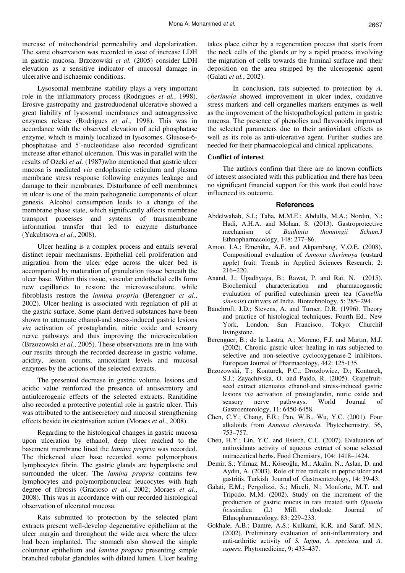increase of mitochondrial permeability and depolarization. The same observation was recorded in case of increase LDH in gastric mucosa. Brzozowski *et al.* (2005) consider LDH elevation as a sensitive indicator of mucosal damage in ulcerative and ischaemic conditions.

Lysosomal membrane stability plays a very important role in the inflammatory process (Rodrigues *et al.*, 1998). Erosive gastropathy and gastroduodenal ulcerative showed a great liability of lysosomal membranes and autoaggressive enzymes release (Rodrigues *et al.*, 1998). This was in accordance with the observed elevation of acid phosphatase enzyme, which is mainly localized in lysosomes. Glusose-6 phosphatase and 5`-nucleotidase also recorded significant increase after ethanol ulceration. This was in parallel with the results of Ozeki *et al.* (1987)who mentioned that gastric ulcer mucosa is mediated *via* endoplasmic reticulum and plasma membrane stress response following enzymes leakage and damage to their membranes. Disturbance of cell membranes in ulcer is one of the main pathogenetic components of ulcer genesis. Alcohol consumption leads to a change of the membrane phase state, which significantly affects membrane transport processes and systems of transmembrane information transfer that led to enzyme disturbance (Yakubtsova *et al.*, 2008).

Ulcer healing is a complex process and entails several distinct repair mechanisms. Epithelial cell proliferation and migration from the ulcer edge across the ulcer bed is accompanied by maturation of granulation tissue beneath the ulcer base. Within this tissue, vascular endothelial cells form new capillaries to restore the microvasculature, while fibroblasts restore the *lamina propria* (Berenguer *et al.*, 2002). Ulcer healing is associated with regulation of pH at the gastric surface. Some plant-derived substances have been shown to attenuate ethanol-and stress-induced gastric lesions *via* activation of prostaglandin, nitric oxide and sensory nerve pathways and thus improving the microcirculation (Brzozowski *et al.*, 2005). These observations are in line with our results through the recorded decrease in gastric volume, acidity, lesion counts, antioxidant levels and mucosal enzymes by the actions of the selected extracts.

The presented decrease in gastric volume, lesions and acidic value reinforced the presence of antisecretory and antiulcerogenic effects of the selected extracts. Ranitidine also recorded a protective potential role in gastric ulcer. This was attributed to the antisecretory and mucosal strengthening effects beside its cicatrisation action (Moraes *et al.*, 2008).

Regarding to the histological changes in gastric mucosa upon ulceration by ethanol, deep ulcer reached to the basement membrane lined the *lamina propria* was recorded. The thickened ulcer base recorded some polymorphous lymphocytes fibrin. The gastric glands are hyperplastic and surrounded the ulcer. The *lamina propria* contains few lymphocytes and polymorphonuclear leucocytes with high degree of fibrosis (Gracioso *et al.*, 2002; Moraes *et al.*, 2008). This was in accordance with our recorded histological observation of ulcerated mucosa.

Rats submitted to protection by the selected plant extracts present well-develop degenerative epithelium at the ulcer margin and throughout the wide area where the ulcer had been implanted. The stomach also showed the simple columnar epithelium and *lamina propria* presenting simple branched tubular glandules with dilated lumen. Ulcer healing takes place either by a regeneration process that starts from the neck cells of the glands or by a rapid process involving the migration of cells towards the luminal surface and their deposition on the area stripped by the ulcerogenic agent (Galati *et al.*, 2002).

 In conclusion, rats subjected to protection by *A. cherimola* showed improvement in ulcer index, oxidative stress markers and cell organelles markers enzymes as well as the improvement of the histopathological pattern in gastric mucosa. The presence of phenolics and flavonoids improved the selected parameters due to their antioxidant effects as well as its role as anti-ulcerative agent. Further studies are needed for their pharmacological and clinical applications.

#### **Conflict of interest**

The authors confirm that there are no known conflicts of interest associated with this publication and there has been no significant financial support for this work that could have influenced its outcome.

#### **References**

- Abdelwahab, S.I.; Taha, M.M.E.; Abdulla, M.A.; Nordin, N.; Hadi, A.H.A. and Mohan, S. (2013). Gastroprotective<br>mechanism of *Bauhinia thonningii Schum.I* mechanism of *Bauhinia thonningii Schum.*J Ethnopharmacology, 148: 277–86.
- Amoo, I.A.; Emenike, A.E. and Akpambang, V.O.E. (2008). Compositional evaluation of *Annona cherimoya* (custard apple) fruit. Trends in Applied Sciences Research, 2: 216−220.
- Anand, J.; Upadhyaya, B.; Rawat, P. and Rai, N. (2015). Biochemical characterization and pharmacognostic evaluation of purified catechinsin green tea (*Camellia sinensis*) cultivars of India. Biotechnology, 5: 285–294.
- Banchroft, J.D.; Stevens, A. and Turner, D.R. (1996). Theory and practice of histological techniques. Fourth Ed., New York, London, San Francisco, Tokyo: Churchil livingstone.
- Berenguer, B.; de la Lastra, A.; Moreno, F.J. and Martın, M.J. (2002). Chronic gastric ulcer healing in rats subjected to selective and non-selective cyclooxygenase-2 inhibitors. European Journal of Pharmacology, 442: 125-135.
- Brzozowski, T.; Konturek, P.C.; Drozdowicz, D.; Konturek, S.J.; Zayachivska, O. and Pajdo, R. (2005). Grapefruitseed extract attenuates ethanol-and stress-induced gastric lesions *via* activation of prostaglandin, nitric oxide and sensory nerve pathways. World Journal of Gastroenterology, 11: 6450-6458.
- Chen, C.Y.; Chang, F.R.; Pan, W.B., Wu, Y.C. (2001). Four alkaloids from *Annona cherimola.* Phytochemistry, 56, 753–757.
- Chen, H.Y.; Lin, Y.C. and Hsiech, C.L. (2007). Evaluation of antioxidants activity of aqueous extract of some selected nutraceutical herbs. Food Chemistry, 104: 1418–1424.
- Demir, S.; Yilmaz, M.; Köseoğlu, M.; Akalin, N.; Aslan, D. and Aydin, A. (2003). Role of free radicals in peptic ulcer and gastritis. Turkish Journal of Gastroenterology, 14: 39-43.
- Galati, E.M.; Pergolizzi, S.; Miceli, N.; Monforte, M.T. and Tripodo, M.M. (2002). Study on the increment of the production of gastric mucus in rats treated with *Opuntia ficus*indica (L) Mill. clodode. Journal of Ethnopharmacology, 83: 229–233.
- Gokhale, A.B.; Damre, A.S.; Kulkami, K.R. and Saraf, M.N. (2002). Preliminary evaluation of anti-inflammatory and anti-arthritic activity of *S. lappa*, *A. speciosa* and *A. aspera*. Phytomedicine, 9: 433–437.